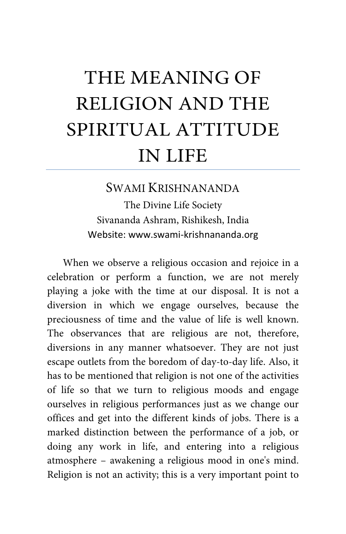## THE MEANING OF RELIGION AND THE SPIRITUAL ATTITUDE IN LIFE

## SWAMI KRISHNANANDA

The Divine Life Society Sivananda Ashram, Rishikesh, India Website: www.swami-krishnananda.org

When we observe a religious occasion and rejoice in a celebration or perform a function, we are not merely playing a joke with the time at our disposal. It is not a diversion in which we engage ourselves, because the preciousness of time and the value of life is well known. The observances that are religious are not, therefore, diversions in any manner whatsoever. They are not just escape outlets from the boredom of day-to-day life. Also, it has to be mentioned that religion is not one of the activities of life so that we turn to religious moods and engage ourselves in religious performances just as we change our offices and get into the different kinds of jobs. There is a marked distinction between the performance of a job, or doing any work in life, and entering into a religious atmosphere – awakening a religious mood in one's mind. Religion is not an activity; this is a very important point to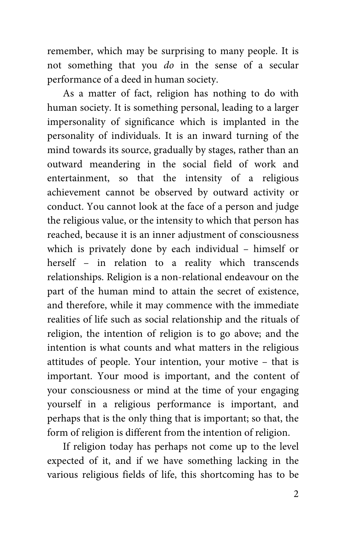remember, which may be surprising to many people. It is not something that you *do* in the sense of a secular performance of a deed in human society.

As a matter of fact, religion has nothing to do with human society. It is something personal, leading to a larger impersonality of significance which is implanted in the personality of individuals. It is an inward turning of the mind towards its source, gradually by stages, rather than an outward meandering in the social field of work and entertainment, so that the intensity of a religious achievement cannot be observed by outward activity or conduct. You cannot look at the face of a person and judge the religious value, or the intensity to which that person has reached, because it is an inner adjustment of consciousness which is privately done by each individual – himself or herself – in relation to a reality which transcends relationships. Religion is a non-relational endeavour on the part of the human mind to attain the secret of existence, and therefore, while it may commence with the immediate realities of life such as social relationship and the rituals of religion, the intention of religion is to go above; and the intention is what counts and what matters in the religious attitudes of people. Your intention, your motive – that is important. Your mood is important, and the content of your consciousness or mind at the time of your engaging yourself in a religious performance is important, and perhaps that is the only thing that is important; so that, the form of religion is different from the intention of religion.

If religion today has perhaps not come up to the level expected of it, and if we have something lacking in the various religious fields of life, this shortcoming has to be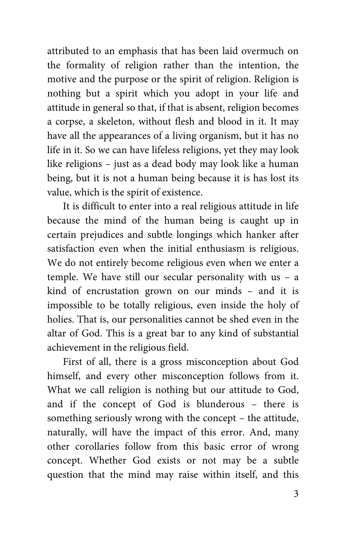attributed to an emphasis that has been laid overmuch on the formality of religion rather than the intention, the motive and the purpose or the spirit of religion. Religion is nothing but a spirit which you adopt in your life and attitude in general so that, if that is absent, religion becomes a corpse, a skeleton, without flesh and blood in it. It may have all the appearances of a living organism, but it has no life in it. So we can have lifeless religions, yet they may look like religions – just as a dead body may look like a human being, but it is not a human being because it is has lost its value, which is the spirit of existence.

It is difficult to enter into a real religious attitude in life because the mind of the human being is caught up in certain prejudices and subtle longings which hanker after satisfaction even when the initial enthusiasm is religious. We do not entirely become religious even when we enter a temple. We have still our secular personality with us – a kind of encrustation grown on our minds – and it is impossible to be totally religious, even inside the holy of holies. That is, our personalities cannot be shed even in the altar of God. This is a great bar to any kind of substantial achievement in the religious field.

First of all, there is a gross misconception about God himself, and every other misconception follows from it. What we call religion is nothing but our attitude to God, and if the concept of God is blunderous – there is something seriously wrong with the concept – the attitude, naturally, will have the impact of this error. And, many other corollaries follow from this basic error of wrong concept. Whether God exists or not may be a subtle question that the mind may raise within itself, and this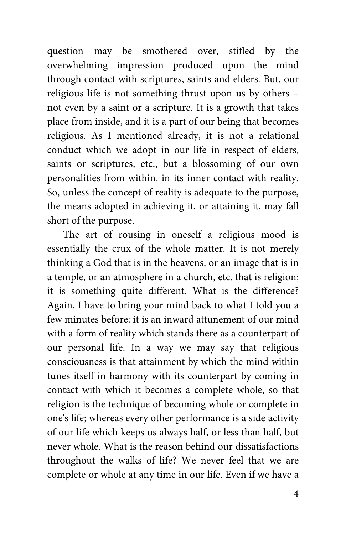question may be smothered over, stifled by the overwhelming impression produced upon the mind through contact with scriptures, saints and elders. But, our religious life is not something thrust upon us by others – not even by a saint or a scripture. It is a growth that takes place from inside, and it is a part of our being that becomes religious. As I mentioned already, it is not a relational conduct which we adopt in our life in respect of elders, saints or scriptures, etc., but a blossoming of our own personalities from within, in its inner contact with reality. So, unless the concept of reality is adequate to the purpose, the means adopted in achieving it, or attaining it, may fall short of the purpose.

The art of rousing in oneself a religious mood is essentially the crux of the whole matter. It is not merely thinking a God that is in the heavens, or an image that is in a temple, or an atmosphere in a church, etc. that is religion; it is something quite different. What is the difference? Again, I have to bring your mind back to what I told you a few minutes before: it is an inward attunement of our mind with a form of reality which stands there as a counterpart of our personal life. In a way we may say that religious consciousness is that attainment by which the mind within tunes itself in harmony with its counterpart by coming in contact with which it becomes a complete whole, so that religion is the technique of becoming whole or complete in one's life; whereas every other performance is a side activity of our life which keeps us always half, or less than half, but never whole. What is the reason behind our dissatisfactions throughout the walks of life? We never feel that we are complete or whole at any time in our life. Even if we have a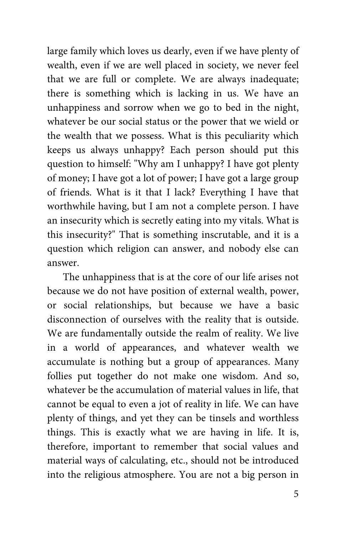large family which loves us dearly, even if we have plenty of wealth, even if we are well placed in society, we never feel that we are full or complete. We are always inadequate; there is something which is lacking in us. We have an unhappiness and sorrow when we go to bed in the night, whatever be our social status or the power that we wield or the wealth that we possess. What is this peculiarity which keeps us always unhappy? Each person should put this question to himself: "Why am I unhappy? I have got plenty of money; I have got a lot of power; I have got a large group of friends. What is it that I lack? Everything I have that worthwhile having, but I am not a complete person. I have an insecurity which is secretly eating into my vitals. What is this insecurity?" That is something inscrutable, and it is a question which religion can answer, and nobody else can answer.

The unhappiness that is at the core of our life arises not because we do not have position of external wealth, power, or social relationships, but because we have a basic disconnection of ourselves with the reality that is outside. We are fundamentally outside the realm of reality. We live in a world of appearances, and whatever wealth we accumulate is nothing but a group of appearances. Many follies put together do not make one wisdom. And so, whatever be the accumulation of material values in life, that cannot be equal to even a jot of reality in life. We can have plenty of things, and yet they can be tinsels and worthless things. This is exactly what we are having in life. It is, therefore, important to remember that social values and material ways of calculating, etc., should not be introduced into the religious atmosphere. You are not a big person in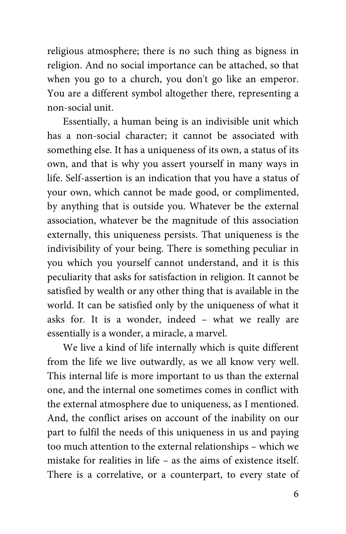religious atmosphere; there is no such thing as bigness in religion. And no social importance can be attached, so that when you go to a church, you don't go like an emperor. You are a different symbol altogether there, representing a non-social unit.

Essentially, a human being is an indivisible unit which has a non-social character; it cannot be associated with something else. It has a uniqueness of its own, a status of its own, and that is why you assert yourself in many ways in life. Self-assertion is an indication that you have a status of your own, which cannot be made good, or complimented, by anything that is outside you. Whatever be the external association, whatever be the magnitude of this association externally, this uniqueness persists. That uniqueness is the indivisibility of your being. There is something peculiar in you which you yourself cannot understand, and it is this peculiarity that asks for satisfaction in religion. It cannot be satisfied by wealth or any other thing that is available in the world. It can be satisfied only by the uniqueness of what it asks for. It is a wonder, indeed – what we really are essentially is a wonder, a miracle, a marvel.

We live a kind of life internally which is quite different from the life we live outwardly, as we all know very well. This internal life is more important to us than the external one, and the internal one sometimes comes in conflict with the external atmosphere due to uniqueness, as I mentioned. And, the conflict arises on account of the inability on our part to fulfil the needs of this uniqueness in us and paying too much attention to the external relationships – which we mistake for realities in life – as the aims of existence itself. There is a correlative, or a counterpart, to every state of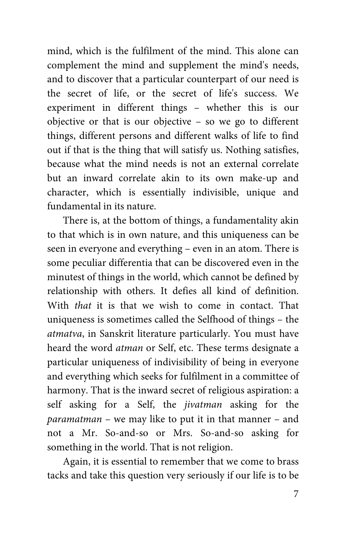mind, which is the fulfilment of the mind. This alone can complement the mind and supplement the mind's needs, and to discover that a particular counterpart of our need is the secret of life, or the secret of life's success. We experiment in different things – whether this is our objective or that is our objective – so we go to different things, different persons and different walks of life to find out if that is the thing that will satisfy us. Nothing satisfies, because what the mind needs is not an external correlate but an inward correlate akin to its own make-up and character, which is essentially indivisible, unique and fundamental in its nature.

There is, at the bottom of things, a fundamentality akin to that which is in own nature, and this uniqueness can be seen in everyone and everything – even in an atom. There is some peculiar differentia that can be discovered even in the minutest of things in the world, which cannot be defined by relationship with others. It defies all kind of definition. With *that* it is that we wish to come in contact. That uniqueness is sometimes called the Selfhood of things – the *atmatva*, in Sanskrit literature particularly. You must have heard the word *atman* or Self, etc. These terms designate a particular uniqueness of indivisibility of being in everyone and everything which seeks for fulfilment in a committee of harmony. That is the inward secret of religious aspiration: a self asking for a Self, the *jivatman* asking for the *paramatman* – we may like to put it in that manner – and not a Mr. So-and-so or Mrs. So-and-so asking for something in the world. That is not religion.

Again, it is essential to remember that we come to brass tacks and take this question very seriously if our life is to be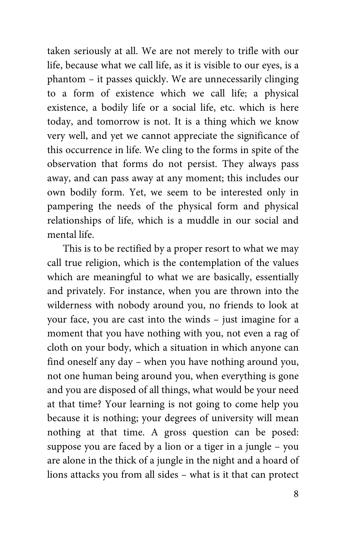taken seriously at all. We are not merely to trifle with our life, because what we call life, as it is visible to our eyes, is a phantom – it passes quickly. We are unnecessarily clinging to a form of existence which we call life; a physical existence, a bodily life or a social life, etc. which is here today, and tomorrow is not. It is a thing which we know very well, and yet we cannot appreciate the significance of this occurrence in life. We cling to the forms in spite of the observation that forms do not persist. They always pass away, and can pass away at any moment; this includes our own bodily form. Yet, we seem to be interested only in pampering the needs of the physical form and physical relationships of life, which is a muddle in our social and mental life.

This is to be rectified by a proper resort to what we may call true religion, which is the contemplation of the values which are meaningful to what we are basically, essentially and privately. For instance, when you are thrown into the wilderness with nobody around you, no friends to look at your face, you are cast into the winds – just imagine for a moment that you have nothing with you, not even a rag of cloth on your body, which a situation in which anyone can find oneself any day – when you have nothing around you, not one human being around you, when everything is gone and you are disposed of all things, what would be your need at that time? Your learning is not going to come help you because it is nothing; your degrees of university will mean nothing at that time. A gross question can be posed: suppose you are faced by a lion or a tiger in a jungle – you are alone in the thick of a jungle in the night and a hoard of lions attacks you from all sides – what is it that can protect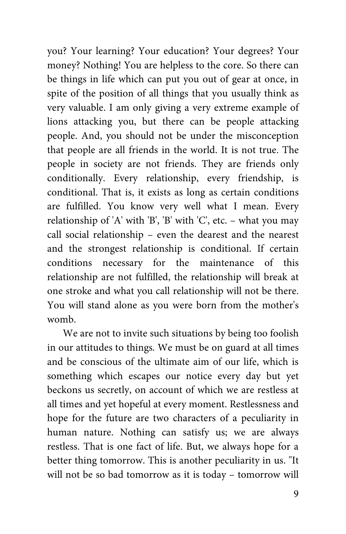you? Your learning? Your education? Your degrees? Your money? Nothing! You are helpless to the core. So there can be things in life which can put you out of gear at once, in spite of the position of all things that you usually think as very valuable. I am only giving a very extreme example of lions attacking you, but there can be people attacking people. And, you should not be under the misconception that people are all friends in the world. It is not true. The people in society are not friends. They are friends only conditionally. Every relationship, every friendship, is conditional. That is, it exists as long as certain conditions are fulfilled. You know very well what I mean. Every relationship of 'A' with 'B', 'B' with 'C', etc. – what you may call social relationship – even the dearest and the nearest and the strongest relationship is conditional. If certain conditions necessary for the maintenance of this relationship are not fulfilled, the relationship will break at one stroke and what you call relationship will not be there. You will stand alone as you were born from the mother's womb.

We are not to invite such situations by being too foolish in our attitudes to things. We must be on guard at all times and be conscious of the ultimate aim of our life, which is something which escapes our notice every day but yet beckons us secretly, on account of which we are restless at all times and yet hopeful at every moment. Restlessness and hope for the future are two characters of a peculiarity in human nature. Nothing can satisfy us; we are always restless. That is one fact of life. But, we always hope for a better thing tomorrow. This is another peculiarity in us. "It will not be so bad tomorrow as it is today – tomorrow will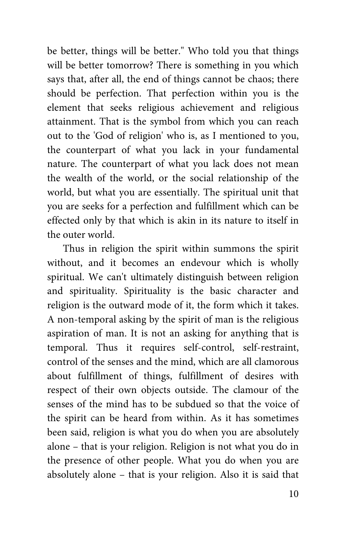be better, things will be better." Who told you that things will be better tomorrow? There is something in you which says that, after all, the end of things cannot be chaos; there should be perfection. That perfection within you is the element that seeks religious achievement and religious attainment. That is the symbol from which you can reach out to the 'God of religion' who is, as I mentioned to you, the counterpart of what you lack in your fundamental nature. The counterpart of what you lack does not mean the wealth of the world, or the social relationship of the world, but what you are essentially. The spiritual unit that you are seeks for a perfection and fulfillment which can be effected only by that which is akin in its nature to itself in the outer world.

Thus in religion the spirit within summons the spirit without, and it becomes an endevour which is wholly spiritual. We can't ultimately distinguish between religion and spirituality. Spirituality is the basic character and religion is the outward mode of it, the form which it takes. A non-temporal asking by the spirit of man is the religious aspiration of man. It is not an asking for anything that is temporal. Thus it requires self-control, self-restraint, control of the senses and the mind, which are all clamorous about fulfillment of things, fulfillment of desires with respect of their own objects outside. The clamour of the senses of the mind has to be subdued so that the voice of the spirit can be heard from within. As it has sometimes been said, religion is what you do when you are absolutely alone – that is your religion. Religion is not what you do in the presence of other people. What you do when you are absolutely alone – that is your religion. Also it is said that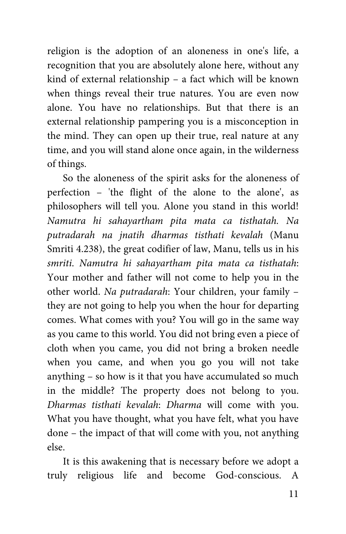religion is the adoption of an aloneness in one's life, a recognition that you are absolutely alone here, without any kind of external relationship – a fact which will be known when things reveal their true natures. You are even now alone. You have no relationships. But that there is an external relationship pampering you is a misconception in the mind. They can open up their true, real nature at any time, and you will stand alone once again, in the wilderness of things.

So the aloneness of the spirit asks for the aloneness of perfection – 'the flight of the alone to the alone', as philosophers will tell you. Alone you stand in this world! *Namutra hi sahayartham pita mata ca tisthatah. Na putradarah na jnatih dharmas tisthati kevalah* (Manu Smriti 4.238), the great codifier of law, Manu, tells us in his *smriti*. *Namutra hi sahayartham pita mata ca tisthatah*: Your mother and father will not come to help you in the other world. *Na putradarah*: Your children, your family – they are not going to help you when the hour for departing comes. What comes with you? You will go in the same way as you came to this world. You did not bring even a piece of cloth when you came, you did not bring a broken needle when you came, and when you go you will not take anything – so how is it that you have accumulated so much in the middle? The property does not belong to you. *Dharmas tisthati kevalah*: *Dharma* will come with you. What you have thought, what you have felt, what you have done – the impact of that will come with you, not anything else.

It is this awakening that is necessary before we adopt a truly religious life and become God-conscious. A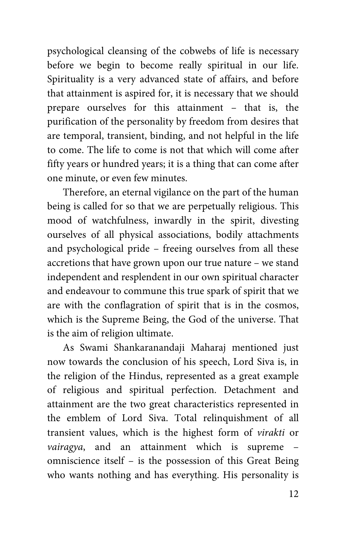psychological cleansing of the cobwebs of life is necessary before we begin to become really spiritual in our life. Spirituality is a very advanced state of affairs, and before that attainment is aspired for, it is necessary that we should prepare ourselves for this attainment – that is, the purification of the personality by freedom from desires that are temporal, transient, binding, and not helpful in the life to come. The life to come is not that which will come after fifty years or hundred years; it is a thing that can come after one minute, or even few minutes.

Therefore, an eternal vigilance on the part of the human being is called for so that we are perpetually religious. This mood of watchfulness, inwardly in the spirit, divesting ourselves of all physical associations, bodily attachments and psychological pride – freeing ourselves from all these accretions that have grown upon our true nature – we stand independent and resplendent in our own spiritual character and endeavour to commune this true spark of spirit that we are with the conflagration of spirit that is in the cosmos, which is the Supreme Being, the God of the universe. That is the aim of religion ultimate.

As Swami Shankaranandaji Maharaj mentioned just now towards the conclusion of his speech, Lord Siva is, in the religion of the Hindus, represented as a great example of religious and spiritual perfection. Detachment and attainment are the two great characteristics represented in the emblem of Lord Siva. Total relinquishment of all transient values, which is the highest form of *virakti* or *vairagya*, and an attainment which is supreme – omniscience itself – is the possession of this Great Being who wants nothing and has everything. His personality is